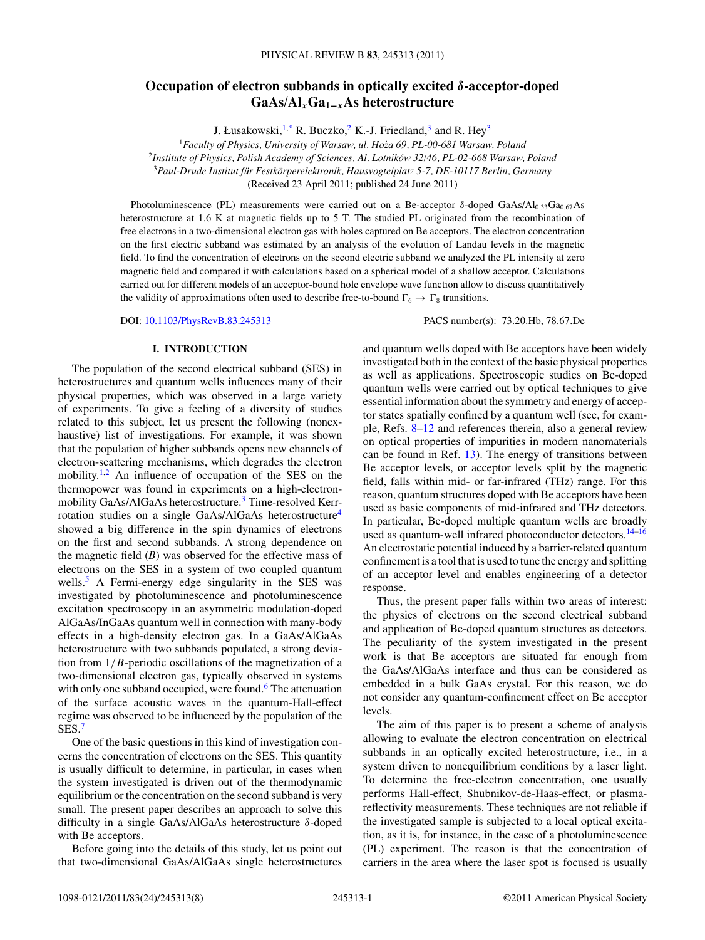# <span id="page-0-0"></span>**Occupation of electron subbands in optically excited** *δ***-acceptor-doped GaAs/Al***x***Ga1−***<sup>x</sup>***As heterostructure**

J. Łusakowski, $1$ <sup>\*</sup>, R. Buczko,<sup>2</sup> K.-J. Friedland,<sup>3</sup> and R. Hey<sup>3</sup>

<sup>1</sup>*Faculty of Physics, University of Warsaw, ul. Hoza 69, PL-00-681 Warsaw, Poland ˙*

<sup>2</sup>*Institute of Physics, Polish Academy of Sciences, Al. Lotnikow 32/46, PL-02-668 Warsaw, Poland ´*

<sup>3</sup>*Paul-Drude Institut fur Festk ¨ orperelektronik, Hausvogteiplatz 5-7, DE-10117 Berlin, Germany ¨*

(Received 23 April 2011; published 24 June 2011)

Photoluminescence (PL) measurements were carried out on a Be-acceptor *δ*-doped GaAs/Al<sub>0.33</sub>Ga<sub>0.67</sub>As heterostructure at 1.6 K at magnetic fields up to 5 T. The studied PL originated from the recombination of free electrons in a two-dimensional electron gas with holes captured on Be acceptors. The electron concentration on the first electric subband was estimated by an analysis of the evolution of Landau levels in the magnetic field. To find the concentration of electrons on the second electric subband we analyzed the PL intensity at zero magnetic field and compared it with calculations based on a spherical model of a shallow acceptor. Calculations carried out for different models of an acceptor-bound hole envelope wave function allow to discuss quantitatively the validity of approximations often used to describe free-to-bound  $\Gamma_6 \rightarrow \Gamma_8$  transitions.

DOI: [10.1103/PhysRevB.83.245313](http://dx.doi.org/10.1103/PhysRevB.83.245313) PACS number(s): 73*.*20*.*Hb, 78*.*67*.*De

#### **I. INTRODUCTION**

The population of the second electrical subband (SES) in heterostructures and quantum wells influences many of their physical properties, which was observed in a large variety of experiments. To give a feeling of a diversity of studies related to this subject, let us present the following (nonexhaustive) list of investigations. For example, it was shown that the population of higher subbands opens new channels of electron-scattering mechanisms, which degrades the electron mobility.<sup>[1,2](#page-6-0)</sup> An influence of occupation of the SES on the thermopower was found in experiments on a high-electronmobility GaAs/AlGaAs heterostructure.[3](#page-6-0) Time-resolved Kerrrotation studies on a single GaAs/AlGaAs heterostructur[e4](#page-6-0) showed a big difference in the spin dynamics of electrons on the first and second subbands. A strong dependence on the magnetic field (*B*) was observed for the effective mass of electrons on the SES in a system of two coupled quantum wells.<sup>[5](#page-6-0)</sup> A Fermi-energy edge singularity in the SES was investigated by photoluminescence and photoluminescence excitation spectroscopy in an asymmetric modulation-doped AlGaAs/InGaAs quantum well in connection with many-body effects in a high-density electron gas. In a GaAs/AlGaAs heterostructure with two subbands populated, a strong deviation from 1*/B*-periodic oscillations of the magnetization of a two-dimensional electron gas, typically observed in systems with only one subband occupied, were found.<sup>6</sup> The attenuation of the surface acoustic waves in the quantum-Hall-effect regime was observed to be influenced by the population of the SES.[7](#page-6-0)

One of the basic questions in this kind of investigation concerns the concentration of electrons on the SES. This quantity is usually difficult to determine, in particular, in cases when the system investigated is driven out of the thermodynamic equilibrium or the concentration on the second subband is very small. The present paper describes an approach to solve this difficulty in a single GaAs/AlGaAs heterostructure *δ*-doped with Be acceptors.

Before going into the details of this study, let us point out that two-dimensional GaAs/AlGaAs single heterostructures and quantum wells doped with Be acceptors have been widely investigated both in the context of the basic physical properties as well as applications. Spectroscopic studies on Be-doped quantum wells were carried out by optical techniques to give essential information about the symmetry and energy of acceptor states spatially confined by a quantum well (see, for example, Refs. [8–](#page-6-0)[12](#page-7-0) and references therein, also a general review on optical properties of impurities in modern nanomaterials can be found in Ref. [13\)](#page-7-0). The energy of transitions between Be acceptor levels, or acceptor levels split by the magnetic field, falls within mid- or far-infrared (THz) range. For this reason, quantum structures doped with Be acceptors have been used as basic components of mid-infrared and THz detectors. In particular, Be-doped multiple quantum wells are broadly used as quantum-well infrared photoconductor detectors.<sup>[14–16](#page-7-0)</sup> An electrostatic potential induced by a barrier-related quantum confinement is a tool that is used to tune the energy and splitting of an acceptor level and enables engineering of a detector response.

Thus, the present paper falls within two areas of interest: the physics of electrons on the second electrical subband and application of Be-doped quantum structures as detectors. The peculiarity of the system investigated in the present work is that Be acceptors are situated far enough from the GaAs/AlGaAs interface and thus can be considered as embedded in a bulk GaAs crystal. For this reason, we do not consider any quantum-confinement effect on Be acceptor levels.

The aim of this paper is to present a scheme of analysis allowing to evaluate the electron concentration on electrical subbands in an optically excited heterostructure, i.e., in a system driven to nonequilibrium conditions by a laser light. To determine the free-electron concentration, one usually performs Hall-effect, Shubnikov-de-Haas-effect, or plasmareflectivity measurements. These techniques are not reliable if the investigated sample is subjected to a local optical excitation, as it is, for instance, in the case of a photoluminescence (PL) experiment. The reason is that the concentration of carriers in the area where the laser spot is focused is usually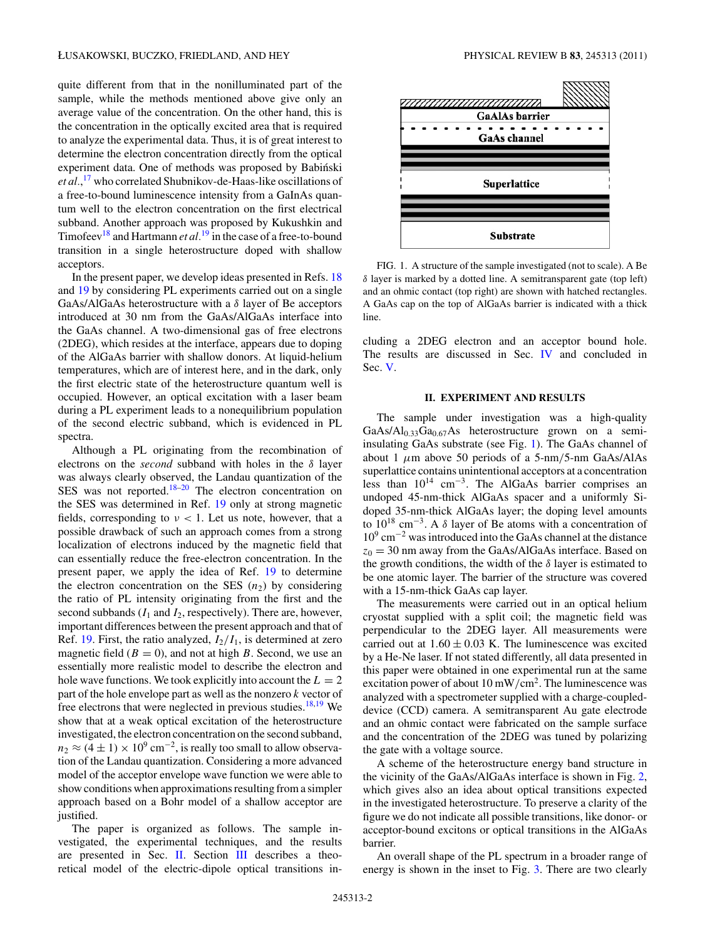quite different from that in the nonilluminated part of the sample, while the methods mentioned above give only an average value of the concentration. On the other hand, this is the concentration in the optically excited area that is required to analyze the experimental data. Thus, it is of great interest to determine the electron concentration directly from the optical experiment data. One of methods was proposed by Babiński *et al.*, [17](#page-7-0) who correlated Shubnikov-de-Haas-like oscillations of a free-to-bound luminescence intensity from a GaInAs quantum well to the electron concentration on the first electrical subband. Another approach was proposed by Kukushkin and Timofeev<sup>18</sup> and Hartmann *et al.*<sup>[19](#page-7-0)</sup> in the case of a free-to-bound transition in a single heterostructure doped with shallow acceptors.

In the present paper, we develop ideas presented in Refs. [18](#page-7-0) and [19](#page-7-0) by considering PL experiments carried out on a single GaAs/AlGaAs heterostructure with a *δ* layer of Be acceptors introduced at 30 nm from the GaAs/AlGaAs interface into the GaAs channel. A two-dimensional gas of free electrons (2DEG), which resides at the interface, appears due to doping of the AlGaAs barrier with shallow donors. At liquid-helium temperatures, which are of interest here, and in the dark, only the first electric state of the heterostructure quantum well is occupied. However, an optical excitation with a laser beam during a PL experiment leads to a nonequilibrium population of the second electric subband, which is evidenced in PL spectra.

Although a PL originating from the recombination of electrons on the *second* subband with holes in the *δ* layer was always clearly observed, the Landau quantization of the SES was not reported. $18-20$  The electron concentration on the SES was determined in Ref. [19](#page-7-0) only at strong magnetic fields, corresponding to *ν <* 1. Let us note, however, that a possible drawback of such an approach comes from a strong localization of electrons induced by the magnetic field that can essentially reduce the free-electron concentration. In the present paper, we apply the idea of Ref. [19](#page-7-0) to determine the electron concentration on the SES  $(n_2)$  by considering the ratio of PL intensity originating from the first and the second subbands  $(I_1 \text{ and } I_2)$ , respectively). There are, however, important differences between the present approach and that of Ref. [19.](#page-7-0) First, the ratio analyzed,  $I_2/I_1$ , is determined at zero magnetic field  $(B = 0)$ , and not at high *B*. Second, we use an essentially more realistic model to describe the electron and hole wave functions. We took explicitly into account the  $L = 2$ part of the hole envelope part as well as the nonzero *k* vector of free electrons that were neglected in previous studies.<sup>18,19</sup> We show that at a weak optical excitation of the heterostructure investigated, the electron concentration on the second subband,  $n_2 \approx (4 \pm 1) \times 10^9$  cm<sup>-2</sup>, is really too small to allow observation of the Landau quantization. Considering a more advanced model of the acceptor envelope wave function we were able to show conditions when approximations resulting from a simpler approach based on a Bohr model of a shallow acceptor are justified.

The paper is organized as follows. The sample investigated, the experimental techniques, and the results are presented in Sec. II. Section [III](#page-3-0) describes a theoretical model of the electric-dipole optical transitions in-



FIG. 1. A structure of the sample investigated (not to scale). A Be *δ* layer is marked by a dotted line. A semitransparent gate (top left) and an ohmic contact (top right) are shown with hatched rectangles. A GaAs cap on the top of AlGaAs barrier is indicated with a thick line.

cluding a 2DEG electron and an acceptor bound hole. The results are discussed in Sec. [IV](#page-4-0) and concluded in Sec. [V.](#page-6-0)

### **II. EXPERIMENT AND RESULTS**

The sample under investigation was a high-quality GaAs/Al<sub>0.33</sub>Ga<sub>0.67</sub>As heterostructure grown on a semiinsulating GaAs substrate (see Fig. 1). The GaAs channel of about 1 *μ*m above 50 periods of a 5-nm*/*5-nm GaAs/AlAs superlattice contains unintentional acceptors at a concentration less than 1014 cm−3. The AlGaAs barrier comprises an undoped 45-nm-thick AlGaAs spacer and a uniformly Sidoped 35-nm-thick AlGaAs layer; the doping level amounts to 1018 cm−3. A *δ* layer of Be atoms with a concentration of 109 cm−<sup>2</sup> was introduced into the GaAs channel at the distance  $z_0 = 30$  nm away from the GaAs/AlGaAs interface. Based on the growth conditions, the width of the *δ* layer is estimated to be one atomic layer. The barrier of the structure was covered with a 15-nm-thick GaAs cap layer.

The measurements were carried out in an optical helium cryostat supplied with a split coil; the magnetic field was perpendicular to the 2DEG layer. All measurements were carried out at  $1.60 \pm 0.03$  K. The luminescence was excited by a He-Ne laser. If not stated differently, all data presented in this paper were obtained in one experimental run at the same excitation power of about 10 mW*/*cm2. The luminescence was analyzed with a spectrometer supplied with a charge-coupleddevice (CCD) camera. A semitransparent Au gate electrode and an ohmic contact were fabricated on the sample surface and the concentration of the 2DEG was tuned by polarizing the gate with a voltage source.

A scheme of the heterostructure energy band structure in the vicinity of the GaAs/AlGaAs interface is shown in Fig. [2,](#page-2-0) which gives also an idea about optical transitions expected in the investigated heterostructure. To preserve a clarity of the figure we do not indicate all possible transitions, like donor- or acceptor-bound excitons or optical transitions in the AlGaAs barrier.

An overall shape of the PL spectrum in a broader range of energy is shown in the inset to Fig. [3.](#page-2-0) There are two clearly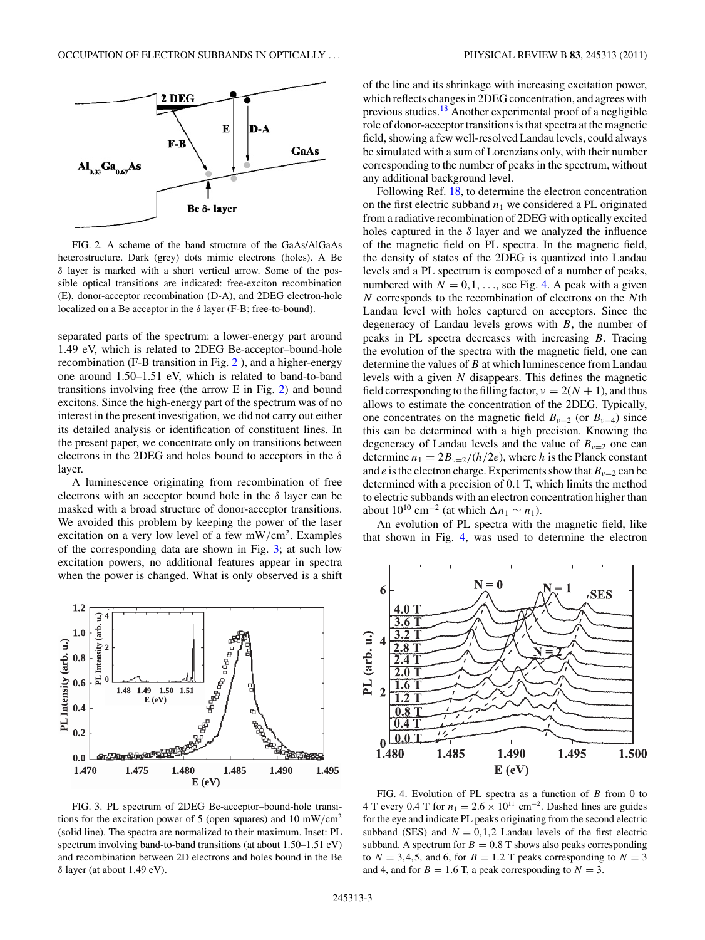<span id="page-2-0"></span>

FIG. 2. A scheme of the band structure of the GaAs/AlGaAs heterostructure. Dark (grey) dots mimic electrons (holes). A Be *δ* layer is marked with a short vertical arrow. Some of the possible optical transitions are indicated: free-exciton recombination (E), donor-acceptor recombination (D-A), and 2DEG electron-hole localized on a Be acceptor in the *δ* layer (F-B; free-to-bound).

separated parts of the spectrum: a lower-energy part around 1.49 eV, which is related to 2DEG Be-acceptor–bound-hole recombination (F-B transition in Fig. 2 ), and a higher-energy one around 1.50–1.51 eV, which is related to band-to-band transitions involving free (the arrow E in Fig. 2) and bound excitons. Since the high-energy part of the spectrum was of no interest in the present investigation, we did not carry out either its detailed analysis or identification of constituent lines. In the present paper, we concentrate only on transitions between electrons in the 2DEG and holes bound to acceptors in the *δ* layer.

A luminescence originating from recombination of free electrons with an acceptor bound hole in the *δ* layer can be masked with a broad structure of donor-acceptor transitions. We avoided this problem by keeping the power of the laser excitation on a very low level of a few mW*/*cm2. Examples of the corresponding data are shown in Fig. 3; at such low excitation powers, no additional features appear in spectra when the power is changed. What is only observed is a shift



FIG. 3. PL spectrum of 2DEG Be-acceptor–bound-hole transitions for the excitation power of 5 (open squares) and 10 mW*/*cm2 (solid line). The spectra are normalized to their maximum. Inset: PL spectrum involving band-to-band transitions (at about 1.50–1.51 eV) and recombination between 2D electrons and holes bound in the Be *δ* layer (at about 1.49 eV).

of the line and its shrinkage with increasing excitation power, which reflects changes in 2DEG concentration, and agrees with previous studies.[18](#page-7-0) Another experimental proof of a negligible role of donor-acceptor transitions is that spectra at the magnetic field, showing a few well-resolved Landau levels, could always be simulated with a sum of Lorenzians only, with their number corresponding to the number of peaks in the spectrum, without any additional background level.

Following Ref. [18,](#page-7-0) to determine the electron concentration on the first electric subband  $n_1$  we considered a PL originated from a radiative recombination of 2DEG with optically excited holes captured in the *δ* layer and we analyzed the influence of the magnetic field on PL spectra. In the magnetic field, the density of states of the 2DEG is quantized into Landau levels and a PL spectrum is composed of a number of peaks, numbered with  $N = 0, 1, \ldots$ , see Fig. 4. A peak with a given *N* corresponds to the recombination of electrons on the *N*th Landau level with holes captured on acceptors. Since the degeneracy of Landau levels grows with *B*, the number of peaks in PL spectra decreases with increasing *B*. Tracing the evolution of the spectra with the magnetic field, one can determine the values of *B* at which luminescence from Landau levels with a given *N* disappears. This defines the magnetic field corresponding to the filling factor,  $\nu = 2(N + 1)$ , and thus allows to estimate the concentration of the 2DEG. Typically, one concentrates on the magnetic field  $B_{\nu=2}$  (or  $B_{\nu=4}$ ) since this can be determined with a high precision. Knowing the degeneracy of Landau levels and the value of  $B_{\nu=2}$  one can determine  $n_1 = 2B_{\nu=2}/(h/2e)$ , where *h* is the Planck constant and *e* is the electron charge. Experiments show that  $B_{\nu=2}$  can be determined with a precision of 0.1 T, which limits the method to electric subbands with an electron concentration higher than about  $10^{10}$  cm<sup>-2</sup> (at which  $\Delta n_1 \sim n_1$ ).

An evolution of PL spectra with the magnetic field, like that shown in Fig. 4, was used to determine the electron



FIG. 4. Evolution of PL spectra as a function of *B* from 0 to 4 T every 0.4 T for  $n_1 = 2.6 \times 10^{11}$  cm<sup>-2</sup>. Dashed lines are guides for the eye and indicate PL peaks originating from the second electric subband (SES) and  $N = 0, 1, 2$  Landau levels of the first electric subband. A spectrum for  $B = 0.8$  T shows also peaks corresponding to  $N = 3, 4, 5$ , and 6, for  $B = 1.2$  T peaks corresponding to  $N = 3$ and 4, and for  $B = 1.6$  T, a peak corresponding to  $N = 3$ .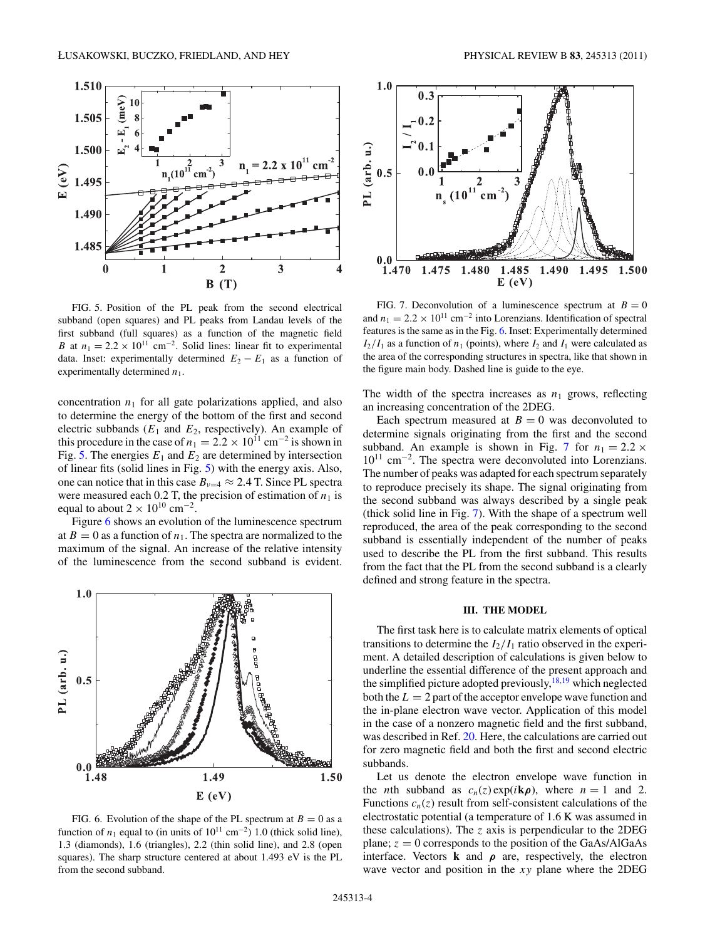<span id="page-3-0"></span>

FIG. 5. Position of the PL peak from the second electrical subband (open squares) and PL peaks from Landau levels of the first subband (full squares) as a function of the magnetic field *B* at  $n_1 = 2.2 \times 10^{11}$  cm<sup>-2</sup>. Solid lines: linear fit to experimental data. Inset: experimentally determined  $E_2 - E_1$  as a function of experimentally determined  $n_1$ .

concentration  $n_1$  for all gate polarizations applied, and also to determine the energy of the bottom of the first and second electric subbands  $(E_1$  and  $E_2$ , respectively). An example of this procedure in the case of  $n_1 = 2.2 \times 10^{11}$  cm<sup>-2</sup> is shown in Fig. 5. The energies  $E_1$  and  $E_2$  are determined by intersection of linear fits (solid lines in Fig. 5) with the energy axis. Also, one can notice that in this case  $B_{\nu=4} \approx 2.4$  T. Since PL spectra were measured each 0.2 T, the precision of estimation of  $n_1$  is equal to about  $2 \times 10^{10}$  cm<sup>-2</sup>.

Figure 6 shows an evolution of the luminescence spectrum at  $B = 0$  as a function of  $n_1$ . The spectra are normalized to the maximum of the signal. An increase of the relative intensity of the luminescence from the second subband is evident.



FIG. 6. Evolution of the shape of the PL spectrum at  $B = 0$  as a function of  $n_1$  equal to (in units of  $10^{11}$  cm<sup>-2</sup>) 1.0 (thick solid line), 1.3 (diamonds), 1.6 (triangles), 2.2 (thin solid line), and 2.8 (open squares). The sharp structure centered at about 1.493 eV is the PL from the second subband.



FIG. 7. Deconvolution of a luminescence spectrum at  $B = 0$ and  $n_1 = 2.2 \times 10^{11}$  cm<sup>-2</sup> into Lorenzians. Identification of spectral features is the same as in the Fig. 6. Inset: Experimentally determined  $I_2/I_1$  as a function of  $n_1$  (points), where  $I_2$  and  $I_1$  were calculated as the area of the corresponding structures in spectra, like that shown in the figure main body. Dashed line is guide to the eye.

The width of the spectra increases as  $n_1$  grows, reflecting an increasing concentration of the 2DEG.

Each spectrum measured at  $B = 0$  was deconvoluted to determine signals originating from the first and the second subband. An example is shown in Fig. 7 for  $n_1 = 2.2 \times$ 1011 cm−2. The spectra were deconvoluted into Lorenzians. The number of peaks was adapted for each spectrum separately to reproduce precisely its shape. The signal originating from the second subband was always described by a single peak (thick solid line in Fig. 7). With the shape of a spectrum well reproduced, the area of the peak corresponding to the second subband is essentially independent of the number of peaks used to describe the PL from the first subband. This results from the fact that the PL from the second subband is a clearly defined and strong feature in the spectra.

### **III. THE MODEL**

The first task here is to calculate matrix elements of optical transitions to determine the  $I_2/I_1$  ratio observed in the experiment. A detailed description of calculations is given below to underline the essential difference of the present approach and the simplified picture adopted previously, $^{18,19}$  which neglected both the  $L = 2$  part of the acceptor envelope wave function and the in-plane electron wave vector. Application of this model in the case of a nonzero magnetic field and the first subband, was described in Ref. [20.](#page-7-0) Here, the calculations are carried out for zero magnetic field and both the first and second electric subbands.

Let us denote the electron envelope wave function in the *n*th subband as  $c_n(z) \exp(i\mathbf{k}\rho)$ , where  $n = 1$  and 2. Functions  $c_n(z)$  result from self-consistent calculations of the electrostatic potential (a temperature of 1.6 K was assumed in these calculations). The *z* axis is perpendicular to the 2DEG plane;  $z = 0$  corresponds to the position of the GaAs/AlGaAs interface. Vectors **k** and  $\rho$  are, respectively, the electron wave vector and position in the *xy* plane where the 2DEG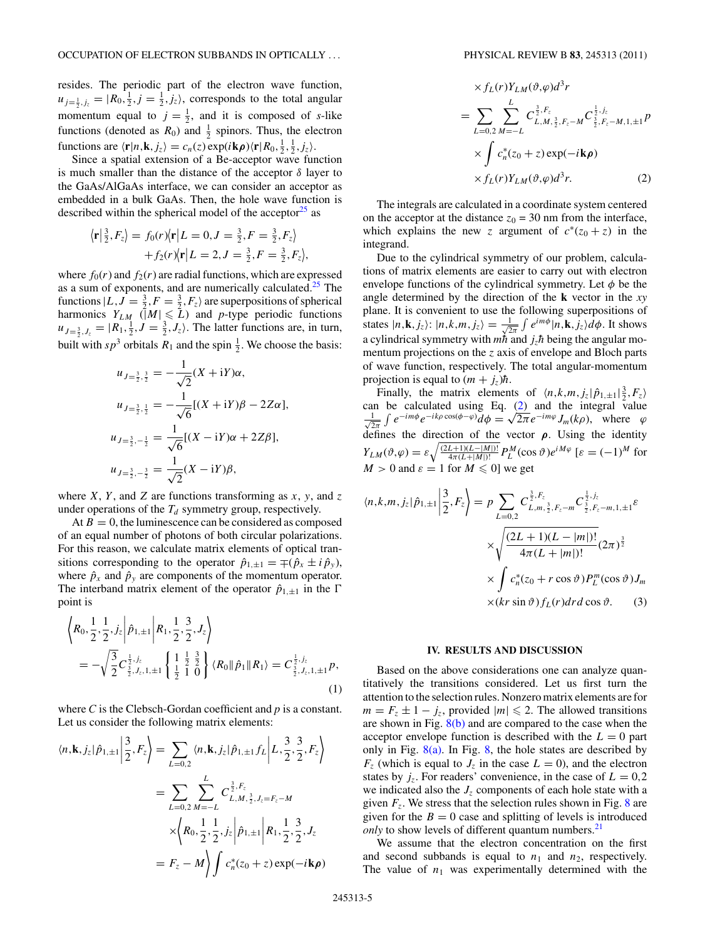<span id="page-4-0"></span>resides. The periodic part of the electron wave function,  $u_{j=\frac{1}{2},j_z} = |R_0, \frac{1}{2}, j = \frac{1}{2}, j_z\rangle$ , corresponds to the total angular momentum equal to  $j = \frac{1}{2}$ , and it is composed of *s*-like functions (denoted as  $R_0$ ) and  $\frac{1}{2}$  spinors. Thus, the electron functions are  $\langle \mathbf{r} | n, \mathbf{k}, j_z \rangle = c_n(z) \exp(i \mathbf{k} \rho) \langle \mathbf{r} | R_0, \frac{1}{2}, \frac{1}{2}, j_z \rangle$ .

Since a spatial extension of a Be-acceptor wave function is much smaller than the distance of the acceptor *δ* layer to the GaAs/AlGaAs interface, we can consider an acceptor as embedded in a bulk GaAs. Then, the hole wave function is described within the spherical model of the acceptor $^{25}$  as

$$
\langle \mathbf{r} | \frac{3}{2}, F_z \rangle = f_0(r) \langle \mathbf{r} | L = 0, J = \frac{3}{2}, F = \frac{3}{2}, F_z \rangle + f_2(r) \langle \mathbf{r} | L = 2, J = \frac{3}{2}, F = \frac{3}{2}, F_z \rangle,
$$

where  $f_0(r)$  and  $f_2(r)$  are radial functions, which are expressed as a sum of exponents, and are numerically calculated.<sup>25</sup> The functions  $|L, J = \frac{3}{2}, F = \frac{3}{2}, F_z\rangle$  are superpositions of spherical harmonics  $Y_{LM}$  ( $|M| \le L$ ) and *p*-type periodic functions  $u_{J=\frac{3}{2}, J_z} = |R_1, \frac{1}{2}, J = \frac{3}{2}, J_z\rangle$ . The latter functions are, in turn, built with  $sp^3$  orbitals  $R_1$  and the spin  $\frac{1}{2}$ . We choose the basis:

$$
u_{J=\frac{3}{2},\frac{3}{2}} = -\frac{1}{\sqrt{2}}(X + iY)\alpha,
$$
  
\n
$$
u_{J=\frac{3}{2},\frac{1}{2}} = -\frac{1}{\sqrt{6}}[(X + iY)\beta - 2Z\alpha],
$$
  
\n
$$
u_{J=\frac{3}{2},-\frac{1}{2}} = \frac{1}{\sqrt{6}}[(X - iY)\alpha + 2Z\beta],
$$
  
\n
$$
u_{J=\frac{3}{2},-\frac{3}{2}} = \frac{1}{\sqrt{2}}(X - iY)\beta,
$$

where *X*, *Y*, and *Z* are functions transforming as *x*, *y*, and *z* under operations of the  $T_d$  symmetry group, respectively.

At  $B = 0$ , the luminescence can be considered as composed of an equal number of photons of both circular polarizations. For this reason, we calculate matrix elements of optical transitions corresponding to the operator  $\hat{p}_{1,\pm 1} = \pm (\hat{p}_x \pm i \hat{p}_y)$ , where  $\hat{p}_x$  and  $\hat{p}_y$  are components of the momentum operator. The interband matrix element of the operator  $\hat{p}_{1,\pm 1}$  in the  $\Gamma$ point is

$$
\left\langle R_0, \frac{1}{2}, \frac{1}{2}, j_z \middle| \hat{p}_{1, \pm 1} \middle| R_1, \frac{1}{2}, \frac{3}{2}, J_z \right\rangle
$$
  
=  $-\sqrt{\frac{3}{2}} C_{\frac{3}{2}, J_z, 1, \pm 1}^{\frac{1}{2}, j_z} \left\{ \frac{1}{2} \frac{1}{2} \frac{3}{2} \right\} \langle R_0 \| \hat{p}_1 \| R_1 \rangle = C_{\frac{3}{2}, J_z, 1, \pm 1}^{\frac{1}{2}, j_z} p,$   
(1)

where *C* is the Clebsch-Gordan coefficient and *p* is a constant. Let us consider the following matrix elements:

$$
\langle n, \mathbf{k}, j_z | \hat{p}_{1, \pm 1} | \frac{3}{2}, F_z \rangle = \sum_{L=0,2} \langle n, \mathbf{k}, j_z | \hat{p}_{1, \pm 1} f_L | L, \frac{3}{2}, \frac{3}{2}, F_z \rangle
$$
  

$$
= \sum_{L=0,2} \sum_{M=-L}^{L} C_{L, M, \frac{3}{2}, J_z = F_z - M}^{\frac{3}{2}, F_z}
$$
  

$$
\times \langle R_0, \frac{1}{2}, \frac{1}{2}, j_z | \hat{p}_{1, \pm 1} | R_1, \frac{1}{2}, \frac{3}{2}, J_z
$$
  

$$
= F_z - M \rangle \int c_n^*(z_0 + z) \exp(-i\mathbf{k}\rho)
$$

$$
\times f_L(r) Y_{LM}(\vartheta, \varphi) d^3 r
$$
  
= 
$$
\sum_{L=0,2}^{L} \sum_{M=-L}^{2} C_{L,M,\frac{3}{2},F_z-M}^{2, F_z} C_{\frac{3}{2},F_z-M,1,\pm 1}^{\frac{1}{2},j_z} p
$$
  

$$
\times \int c_n^*(z_0 + z) \exp(-i\mathbf{k}\rho)
$$
  

$$
\times f_L(r) Y_{LM}(\vartheta, \varphi) d^3 r.
$$
 (2)

The integrals are calculated in a coordinate system centered on the acceptor at the distance  $z_0 = 30$  nm from the interface, which explains the new *z* argument of  $c^*(z_0 + z)$  in the integrand.

Due to the cylindrical symmetry of our problem, calculations of matrix elements are easier to carry out with electron envelope functions of the cylindrical symmetry. Let  $\phi$  be the angle determined by the direction of the **k** vector in the *xy* plane. It is convenient to use the following superpositions of states  $|n, \mathbf{k}, j_z\rangle$ :  $|n, k, m, j_z\rangle = \frac{1}{\sqrt{2}}$  $\frac{1}{2\pi} \int e^{im\phi} |n, \mathbf{k}, j_z \rangle d\phi$ . It shows a cylindrical symmetry with  $m\bar{h}$  and  $j_z\bar{h}$  being the angular momentum projections on the *z* axis of envelope and Bloch parts of wave function, respectively. The total angular-momentum projection is equal to  $(m + j_z)\hbar$ .

Finally, the matrix elements of  $\langle n, k, m, j_z | \hat{p}_{1,\pm 1} |^{\frac{3}{2}}, F_z \rangle$ can be calculated using Eq. (2) and the integral value  $\frac{1}{\sqrt{2}}$  $\frac{1}{2\pi} \int e^{-im\phi} e^{-ik\rho \cos(\phi - \varphi)} d\phi = \sqrt{2\pi} e^{-im\varphi} J_m(k\rho)$ , where  $\varphi$ defines the direction of the vector  $\rho$ . Using the identity  $Y_{LM}(\vartheta, \varphi) = \varepsilon \sqrt{\frac{(2L+1)(L-|M|)!}{4\pi (L+|M|)!}} P_L^M(\cos \vartheta) e^{iM\varphi} \quad [\varepsilon = (-1)^M \text{ for }$  $M > 0$  and  $\varepsilon = 1$  for  $M \le 0$ ] we get

$$
\langle n, k, m, j_z | \hat{p}_{1, \pm 1} | \frac{3}{2}, F_z \rangle = p \sum_{L=0,2} C_{L, m, \frac{3}{2}, F_z - m}^{\frac{1}{2}, f_z} C_{\frac{3}{2}, F_z - m, 1, \pm 1}^{\frac{1}{2}, f_z} \times \sqrt{\frac{(2L+1)(L-|m|)!}{4\pi(L+|m|)!}} (2\pi)^{\frac{3}{2}}
$$

$$
\times \int_{-\infty}^{\infty} c_n^*(z_0 + r \cos \vartheta) P_L^m(\cos \vartheta) J_m
$$

$$
\times (kr \sin \vartheta) f_L(r) dr d \cos \vartheta.
$$
 (3)

#### **IV. RESULTS AND DISCUSSION**

Based on the above considerations one can analyze quantitatively the transitions considered. Let us first turn the attention to the selection rules. Nonzero matrix elements are for  $m = F_z \pm 1 - j_z$ , provided  $|m| \le 2$ . The allowed transitions are shown in Fig.  $8(b)$  and are compared to the case when the acceptor envelope function is described with the  $L = 0$  part only in Fig.  $8(a)$ . In Fig. [8,](#page-5-0) the hole states are described by  $F_z$  (which is equal to  $J_z$  in the case  $L = 0$ ), and the electron states by  $j_z$ . For readers' convenience, in the case of  $L = 0.2$ we indicated also the  $J<sub>z</sub>$  components of each hole state with a given  $F_z$ . We stress that the selection rules shown in Fig. [8](#page-5-0) are given for the  $B = 0$  case and splitting of levels is introduced *only* to show levels of different quantum numbers.<sup>21</sup>

We assume that the electron concentration on the first and second subbands is equal to  $n_1$  and  $n_2$ , respectively. The value of  $n_1$  was experimentally determined with the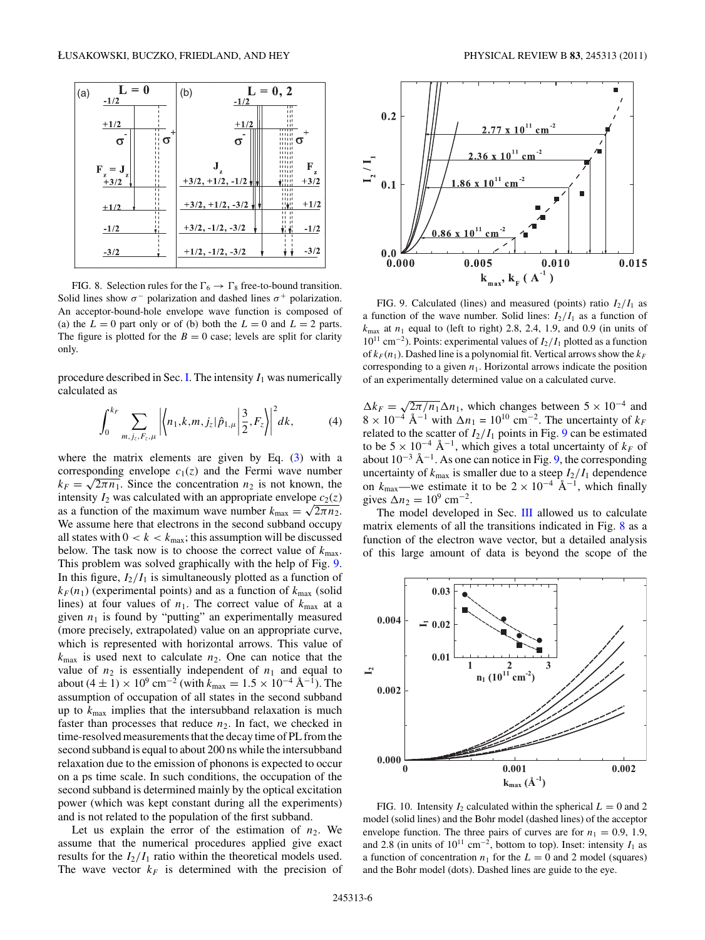<span id="page-5-0"></span>

FIG. 8. Selection rules for the  $\Gamma_6 \rightarrow \Gamma_8$  free-to-bound transition. Solid lines show  $\sigma^-$  polarization and dashed lines  $\sigma^+$  polarization. An acceptor-bound-hole envelope wave function is composed of (a) the  $L = 0$  part only or of (b) both the  $L = 0$  and  $L = 2$  parts. The figure is plotted for the  $B = 0$  case; levels are split for clarity only.

procedure described in Sec. [I.](#page-0-0) The intensity  $I_1$  was numerically calculated as

$$
\int_0^{k_F} \sum_{m,j_z,F_z,\mu} \left| \left\langle n_1,k,m,j_z | \hat{p}_{1,\mu} \right| \frac{3}{2}, F_z \right\rangle \right|^2 dk, \tag{4}
$$

where the matrix elements are given by Eq. [\(3\)](#page-4-0) with a corresponding envelope  $c_1(z)$  and the Fermi wave number  $k_F = \sqrt{2\pi n_1}$ . Since the concentration  $n_2$  is not known, the intensity  $I_2$  was calculated with an appropriate envelope  $c_2(z)$ as a function of the maximum wave number  $k_{\text{max}} = \sqrt{2\pi n_2}$ . We assume here that electrons in the second subband occupy all states with  $0 < k < k_{\text{max}}$ ; this assumption will be discussed below. The task now is to choose the correct value of  $k_{\text{max}}$ . This problem was solved graphically with the help of Fig. 9. In this figure,  $I_2/I_1$  is simultaneously plotted as a function of  $k_F(n_1)$  (experimental points) and as a function of  $k_{\text{max}}$  (solid lines) at four values of  $n_1$ . The correct value of  $k_{\text{max}}$  at a given  $n_1$  is found by "putting" an experimentally measured (more precisely, extrapolated) value on an appropriate curve, which is represented with horizontal arrows. This value of  $k_{\text{max}}$  is used next to calculate  $n_2$ . One can notice that the value of  $n_2$  is essentially independent of  $n_1$  and equal to about (4 ± 1) × 10<sup>9</sup> cm<sup>-2</sup> (with  $\bar{k}_{\text{max}} = 1.5 \times 10^{-4} \text{ Å}^{-1}$ ). The assumption of occupation of all states in the second subband up to *k*max implies that the intersubband relaxation is much faster than processes that reduce  $n_2$ . In fact, we checked in time-resolved measurements that the decay time of PL from the second subband is equal to about 200 ns while the intersubband relaxation due to the emission of phonons is expected to occur on a ps time scale. In such conditions, the occupation of the second subband is determined mainly by the optical excitation power (which was kept constant during all the experiments) and is not related to the population of the first subband.

Let us explain the error of the estimation of  $n_2$ . We assume that the numerical procedures applied give exact results for the  $I_2/I_1$  ratio within the theoretical models used. The wave vector  $k_F$  is determined with the precision of



FIG. 9. Calculated (lines) and measured (points) ratio  $I_2/I_1$  as a function of the wave number. Solid lines:  $I_2/I_1$  as a function of  $k_{\text{max}}$  at  $n_1$  equal to (left to right) 2.8, 2.4, 1.9, and 0.9 (in units of 1011 cm−2). Points: experimental values of *I*2*/I*<sup>1</sup> plotted as a function of  $k_F(n_1)$ . Dashed line is a polynomial fit. Vertical arrows show the  $k_F$ corresponding to a given  $n_1$ . Horizontal arrows indicate the position of an experimentally determined value on a calculated curve.

 $\Delta k_F = \sqrt{2\pi/n_1} \Delta n_1$ , which changes between  $5 \times 10^{-4}$  and  $8 \times 10^{-4}$  Å<sup>-1</sup> with  $\Delta n_1 = 10^{10}$  cm<sup>-2</sup>. The uncertainty of  $k_F$ related to the scatter of  $I_2/I_1$  points in Fig. 9 can be estimated to be  $5 \times 10^{-4}$  Å<sup>-1</sup>, which gives a total uncertainty of  $k_F$  of about  $10^{-3}$  Å<sup>-1</sup>. As one can notice in Fig. 9, the corresponding uncertainty of  $k_{\text{max}}$  is smaller due to a steep  $I_2/I_1$  dependence on  $k_{\text{max}}$ —we estimate it to be  $2 \times 10^{-4}$  Å<sup>-1</sup>, which finally gives  $\Delta n_2 = 10^9$  cm<sup>-2</sup>.

The model developed in Sec. [III](#page-3-0) allowed us to calculate matrix elements of all the transitions indicated in Fig. 8 as a function of the electron wave vector, but a detailed analysis of this large amount of data is beyond the scope of the



FIG. 10. Intensity  $I_2$  calculated within the spherical  $L = 0$  and 2 model (solid lines) and the Bohr model (dashed lines) of the acceptor envelope function. The three pairs of curves are for  $n_1 = 0.9, 1.9$ , and 2.8 (in units of  $10^{11}$  cm<sup>-2</sup>, bottom to top). Inset: intensity  $I_1$  as a function of concentration  $n_1$  for the  $L = 0$  and 2 model (squares) and the Bohr model (dots). Dashed lines are guide to the eye.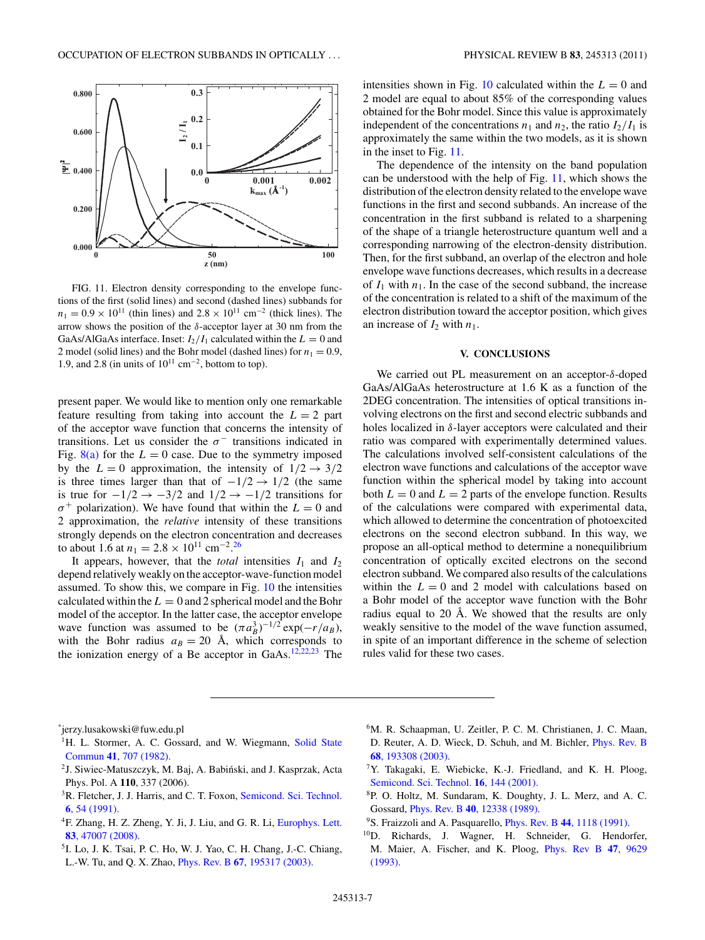

<span id="page-6-0"></span>

FIG. 11. Electron density corresponding to the envelope functions of the first (solid lines) and second (dashed lines) subbands for  $n_1 = 0.9 \times 10^{11}$  (thin lines) and  $2.8 \times 10^{11}$  cm<sup>-2</sup> (thick lines). The arrow shows the position of the *δ*-acceptor layer at 30 nm from the GaAs/AlGaAs interface. Inset:  $I_2/I_1$  calculated within the  $L = 0$  and 2 model (solid lines) and the Bohr model (dashed lines) for  $n_1 = 0.9$ , 1.9, and 2.8 (in units of  $10^{11}$  cm<sup>-2</sup>, bottom to top).

present paper. We would like to mention only one remarkable feature resulting from taking into account the  $L = 2$  part of the acceptor wave function that concerns the intensity of transitions. Let us consider the  $\sigma^-$  transitions indicated in Fig.  $8(a)$  for the  $L = 0$  case. Due to the symmetry imposed by the  $L = 0$  approximation, the intensity of  $1/2 \rightarrow 3/2$ is three times larger than that of  $-1/2 \rightarrow 1/2$  (the same is true for  $-1/2$  →  $-3/2$  and  $1/2$  →  $-1/2$  transitions for  $\sigma^+$  polarization). We have found that within the  $L = 0$  and 2 approximation, the *relative* intensity of these transitions strongly depends on the electron concentration and decreases to about 1.6 at  $n_1 = 2.8 \times 10^{11}$  cm<sup>-2</sup>.<sup>[26](#page-7-0)</sup>

It appears, however, that the *total* intensities  $I_1$  and  $I_2$ depend relatively weakly on the acceptor-wave-function model assumed. To show this, we compare in Fig. [10](#page-5-0) the intensities calculated within the  $L = 0$  and 2 spherical model and the Bohr model of the acceptor. In the latter case, the acceptor envelope wave function was assumed to be  $(\pi a_B^3)^{-1/2} \exp(-r/a_B)$ , with the Bohr radius  $a_B = 20$  Å, which corresponds to the ionization energy of a Be acceptor in GaAs. $12,22,23$  The intensities shown in Fig. [10](#page-5-0) calculated within the  $L = 0$  and 2 model are equal to about 85% of the corresponding values obtained for the Bohr model. Since this value is approximately independent of the concentrations  $n_1$  and  $n_2$ , the ratio  $I_2/I_1$  is approximately the same within the two models, as it is shown in the inset to Fig. 11.

The dependence of the intensity on the band population can be understood with the help of Fig. 11, which shows the distribution of the electron density related to the envelope wave functions in the first and second subbands. An increase of the concentration in the first subband is related to a sharpening of the shape of a triangle heterostructure quantum well and a corresponding narrowing of the electron-density distribution. Then, for the first subband, an overlap of the electron and hole envelope wave functions decreases, which results in a decrease of  $I_1$  with  $n_1$ . In the case of the second subband, the increase of the concentration is related to a shift of the maximum of the electron distribution toward the acceptor position, which gives an increase of  $I_2$  with  $n_1$ .

## **V. CONCLUSIONS**

We carried out PL measurement on an acceptor-*δ*-doped GaAs/AlGaAs heterostructure at 1.6 K as a function of the 2DEG concentration. The intensities of optical transitions involving electrons on the first and second electric subbands and holes localized in *δ*-layer acceptors were calculated and their ratio was compared with experimentally determined values. The calculations involved self-consistent calculations of the electron wave functions and calculations of the acceptor wave function within the spherical model by taking into account both  $L = 0$  and  $L = 2$  parts of the envelope function. Results of the calculations were compared with experimental data, which allowed to determine the concentration of photoexcited electrons on the second electron subband. In this way, we propose an all-optical method to determine a nonequilibrium concentration of optically excited electrons on the second electron subband. We compared also results of the calculations within the  $L = 0$  and 2 model with calculations based on a Bohr model of the acceptor wave function with the Bohr radius equal to 20 Å. We showed that the results are only weakly sensitive to the model of the wave function assumed, in spite of an important difference in the scheme of selection rules valid for these two cases.

\* jerzy.lusakowski@fuw.edu.pl

- <sup>1</sup>H. L. Stormer, A. C. Gossard, and W. Wiegmann, [Solid State](http://dx.doi.org/10.1016/0038-1098(82)91121-8) Commun **41**[, 707 \(1982\).](http://dx.doi.org/10.1016/0038-1098(82)91121-8)
- <sup>2</sup>J. Siwiec-Matuszczyk, M. Baj, A. Babiński, and J. Kasprzak, Acta Phys. Pol. A **110**, 337 (2006).
- <sup>3</sup>R. Fletcher, J. J. Harris, and C. T. Foxon, [Semicond. Sci. Technol.](http://dx.doi.org/10.1088/0268-1242/6/1/010) **6**[, 54 \(1991\).](http://dx.doi.org/10.1088/0268-1242/6/1/010)
- 4F. Zhang, H. Z. Zheng, Y. Ji, J. Liu, and G. R. Li, [Europhys. Lett.](http://dx.doi.org/10.1209/0295-5075/83/47007) **83**[, 47007 \(2008\).](http://dx.doi.org/10.1209/0295-5075/83/47007)
- 5I. Lo, J. K. Tsai, P. C. Ho, W. J. Yao, C. H. Chang, J.-C. Chiang, L.-W. Tu, and Q. X. Zhao, Phys. Rev. B **67**[, 195317 \(2003\).](http://dx.doi.org/10.1103/PhysRevB.67.195317)
- 6M. R. Schaapman, U. Zeitler, P. C. M. Christianen, J. C. Maan, D. Reuter, A. D. Wieck, D. Schuh, and M. Bichler, [Phys. Rev. B](http://dx.doi.org/10.1103/PhysRevB.68.193308) **68**[, 193308 \(2003\).](http://dx.doi.org/10.1103/PhysRevB.68.193308)
- 7Y. Takagaki, E. Wiebicke, K.-J. Friedland, and K. H. Ploog, [Semicond. Sci. Technol.](http://dx.doi.org/10.1088/0268-1242/16/3/304) **16**, 144 (2001).
- 8P. O. Holtz, M. Sundaram, K. Doughty, J. L. Merz, and A. C. Gossard, Phys. Rev. B **40**[, 12338 \(1989\).](http://dx.doi.org/10.1103/PhysRevB.40.12338)
- 9S. Fraizzoli and A. Pasquarello, Phys. Rev. B **44**[, 1118 \(1991\).](http://dx.doi.org/10.1103/PhysRevB.44.1118)
- 10D. Richards, J. Wagner, H. Schneider, G. Hendorfer, M. Maier, A. Fischer, and K. Ploog, [Phys. Rev B](http://dx.doi.org/10.1103/PhysRevB.47.9629) **47**, 9629 [\(1993\).](http://dx.doi.org/10.1103/PhysRevB.47.9629)